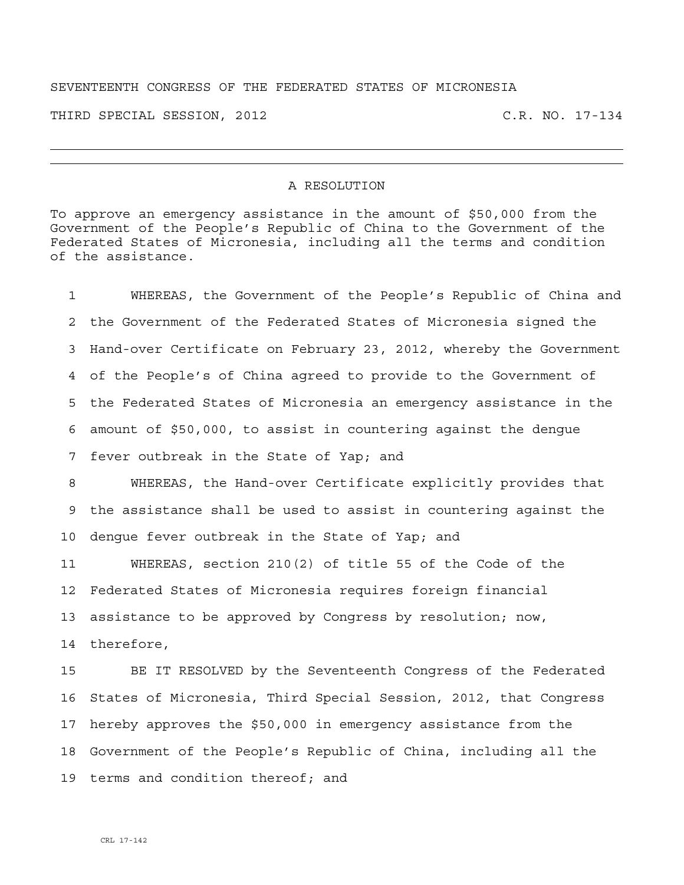## SEVENTEENTH CONGRESS OF THE FEDERATED STATES OF MICRONESIA

THIRD SPECIAL SESSION, 2012 C.R. NO. 17-134

## A RESOLUTION

To approve an emergency assistance in the amount of \$50,000 from the Government of the People's Republic of China to the Government of the Federated States of Micronesia, including all the terms and condition of the assistance.

1 WHEREAS, the Government of the People's Republic of China and 2 the Government of the Federated States of Micronesia signed the 3 Hand-over Certificate on February 23, 2012, whereby the Government 4 of the People's of China agreed to provide to the Government of 5 the Federated States of Micronesia an emergency assistance in the 6 amount of \$50,000, to assist in countering against the dengue 7 fever outbreak in the State of Yap; and

8 WHEREAS, the Hand-over Certificate explicitly provides that 9 the assistance shall be used to assist in countering against the 10 dengue fever outbreak in the State of Yap; and

11 WHEREAS, section 210(2) of title 55 of the Code of the 12 Federated States of Micronesia requires foreign financial 13 assistance to be approved by Congress by resolution; now, 14 therefore,

15 BE IT RESOLVED by the Seventeenth Congress of the Federated 16 States of Micronesia, Third Special Session, 2012, that Congress 17 hereby approves the \$50,000 in emergency assistance from the 18 Government of the People's Republic of China, including all the 19 terms and condition thereof; and